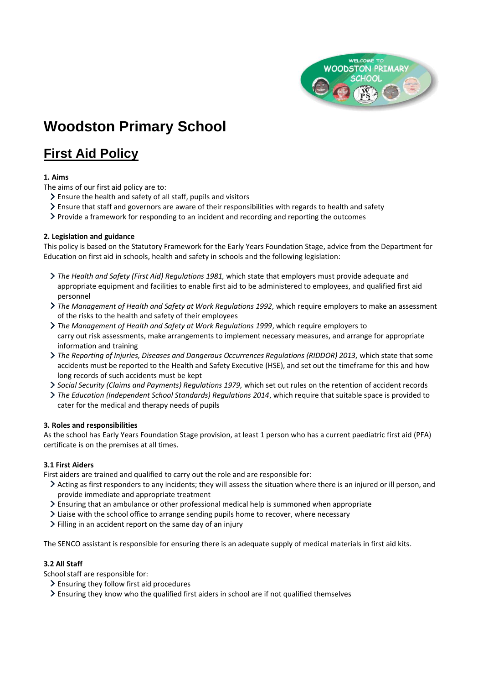

# **Woodston Primary School**

# **First Aid Policy**

# **1. Aims**

The aims of our first aid policy are to:

- Ensure the health and safety of all staff, pupils and visitors
- Ensure that staff and governors are aware of their responsibilities with regards to health and safety
- Provide a framework for responding to an incident and recording and reporting the outcomes

# **2. Legislation and guidance**

This policy is based on the Statutory Framework for the Early Years Foundation Stage, advice from the Department for Education on first aid in schools, health and safety in schools and the following legislation:

- *The Health and Safety (First Aid) Regulations 1981,* which state that employers must provide adequate and appropriate equipment and facilities to enable first aid to be administered to employees, and qualified first aid personnel
- *The Management of Health and Safety at Work Regulations 1992,* which require employers to make an assessment of the risks to the health and safety of their employees
- *[The Management of Health and Safety at Work Regulations 1999](http://www.legislation.gov.uk/uksi/1999/3242/contents/made)*, which require employers to carry out risk assessments, make arrangements to implement necessary measures, and arrange for appropriate information and training
- *The Reporting of Injuries, Diseases and Dangerous Occurrences Regulations (RIDDOR) 2013,* which state that some accidents must be reported to the Health and Safety Executive (HSE), and set out the timeframe for this and how long records of such accidents must be kept
- *Social Security (Claims and Payments) Regulations 1979,* which set out rules on the retention of accident records
- *The Education (Independent School Standards) Regulations 2014*, which require that suitable space is provided to cater for the medical and therapy needs of pupils

# **3. Roles and responsibilities**

As the school has Early Years Foundation Stage provision, at least 1 person who has a current paediatric first aid (PFA) certificate is on the premises at all times.

# **3.1 First Aiders**

First aiders are trained and qualified to carry out the role and are responsible for:

- Acting as first responders to any incidents; they will assess the situation where there is an injured or ill person, and provide immediate and appropriate treatment
- Ensuring that an ambulance or other professional medical help is summoned when appropriate
- Liaise with the school office to arrange sending pupils home to recover, where necessary
- $\triangleright$  Filling in an accident report on the same day of an injury

The SENCO assistant is responsible for ensuring there is an adequate supply of medical materials in first aid kits.

# **3.2 All Staff**

School staff are responsible for:

- Ensuring they follow first aid procedures
- Ensuring they know who the qualified first aiders in school are if not qualified themselves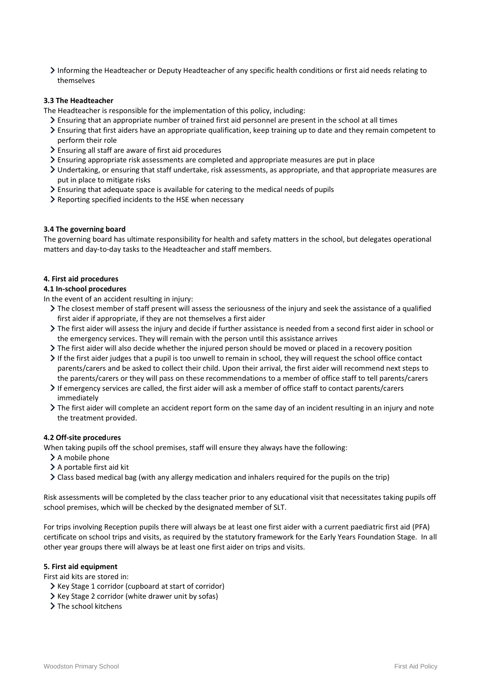Informing the Headteacher or Deputy Headteacher of any specific health conditions or first aid needs relating to themselves

## **3.3 The Headteacher**

The Headteacher is responsible for the implementation of this policy, including:

- Ensuring that an appropriate number of trained first aid personnel are present in the school at all times
- Ensuring that first aiders have an appropriate qualification, keep training up to date and they remain competent to perform their role
- Ensuring all staff are aware of first aid procedures
- Ensuring appropriate risk assessments are completed and appropriate measures are put in place
- Undertaking, or ensuring that staff undertake, risk assessments, as appropriate, and that appropriate measures are put in place to mitigate risks
- Ensuring that adequate space is available for catering to the medical needs of pupils
- > Reporting specified incidents to the HSE when necessary

# **3.4 The governing board**

The governing board has ultimate responsibility for health and safety matters in the school, but delegates operational matters and day-to-day tasks to the Headteacher and staff members.

## **4. First aid procedures**

#### **4.1 In-school procedures**

In the event of an accident resulting in injury:

- The closest member of staff present will assess the seriousness of the injury and seek the assistance of a qualified first aider if appropriate, if they are not themselves a first aider
- The first aider will assess the injury and decide if further assistance is needed from a second first aider in school or the emergency services. They will remain with the person until this assistance arrives
- The first aider will also decide whether the injured person should be moved or placed in a recovery position
- If the first aider judges that a pupil is too unwell to remain in school, they will request the school office contact parents/carers and be asked to collect their child. Upon their arrival, the first aider will recommend next steps to the parents/carers or they will pass on these recommendations to a member of office staff to tell parents/carers
- If emergency services are called, the first aider will ask a member of office staff to contact parents/carers immediately
- The first aider will complete an accident report form on the same day of an incident resulting in an injury and note the treatment provided.

# **4.2 Off-site proced**u**res**

When taking pupils off the school premises, staff will ensure they always have the following:

- > A mobile phone
- > A portable first aid kit
- Class based medical bag (with any allergy medication and inhalers required for the pupils on the trip)

Risk assessments will be completed by the class teacher prior to any educational visit that necessitates taking pupils off school premises, which will be checked by the designated member of SLT.

For trips involving Reception pupils there will always be at least one first aider with a current paediatric first aid (PFA) certificate on school trips and visits, as required by the statutory framework for the Early Years Foundation Stage. In all other year groups there will always be at least one first aider on trips and visits.

#### **5. First aid equipment**

First aid kits are stored in:

- If  $\epsilon$  Key Stage 1 corridor (cupboard at start of corridor)
- > Key Stage 2 corridor (white drawer unit by sofas)
- > The school kitchens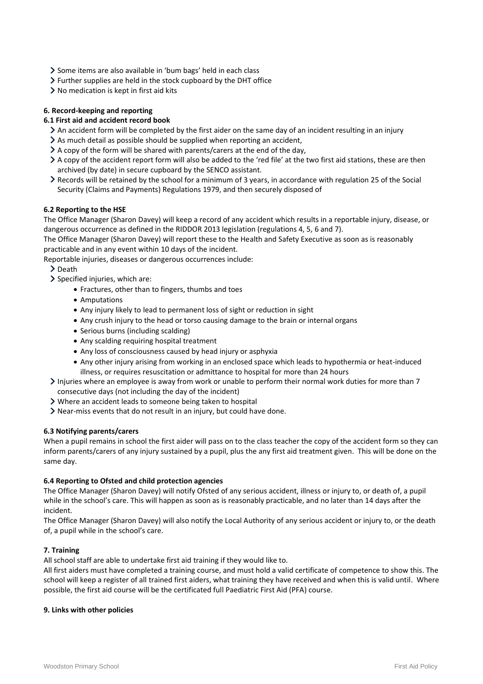- Some items are also available in 'bum bags' held in each class
- Further supplies are held in the stock cupboard by the DHT office
- $\sum$  No medication is kept in first aid kits

# **6. Record-keeping and reporting**

# **6.1 First aid and accident record book**

- An accident form will be completed by the first aider on the same day of an incident resulting in an injury
- As much detail as possible should be supplied when reporting an accident,
- A copy of the form will be shared with parents/carers at the end of the day,
- A copy of the accident report form will also be added to the 'red file' at the two first aid stations, these are then archived (by date) in secure cupboard by the SENCO assistant.
- Records will be retained by the school for a minimum of 3 years, in accordance with regulation 25 of the Social Security (Claims and Payments) Regulations 1979, and then securely disposed of

# **6.2 Reporting to the HSE**

The Office Manager (Sharon Davey) will keep a record of any accident which results in a reportable injury, disease, or dangerous occurrence as defined in the RIDDOR 2013 legislation (regulations 4, 5, 6 and 7).

The Office Manager (Sharon Davey) will report these to the Health and Safety Executive as soon as is reasonably practicable and in any event within 10 days of the incident.

Reportable injuries, diseases or dangerous occurrences include:

- > Death
- > Specified injuries, which are:
	- Fractures, other than to fingers, thumbs and toes
	- Amputations
	- Any injury likely to lead to permanent loss of sight or reduction in sight
	- Any crush injury to the head or torso causing damage to the brain or internal organs
	- Serious burns (including scalding)
	- Any scalding requiring hospital treatment
	- Any loss of consciousness caused by head injury or asphyxia
	- Any other injury arising from working in an enclosed space which leads to hypothermia or heat-induced illness, or requires resuscitation or admittance to hospital for more than 24 hours
- Injuries where an employee is away from work or unable to perform their normal work duties for more than 7 consecutive days (not including the day of the incident)
- Where an accident leads to someone being taken to hospital
- Near-miss events that do not result in an injury, but could have done.

# **6.3 Notifying parents/carers**

When a pupil remains in school the first aider will pass on to the class teacher the copy of the accident form so they can inform parents/carers of any injury sustained by a pupil, plus the any first aid treatment given. This will be done on the same day.

# **6.4 Reporting to Ofsted and child protection agencies**

The Office Manager (Sharon Davey) will notify Ofsted of any serious accident, illness or injury to, or death of, a pupil while in the school's care. This will happen as soon as is reasonably practicable, and no later than 14 days after the incident.

The Office Manager (Sharon Davey) will also notify the Local Authority of any serious accident or injury to, or the death of, a pupil while in the school's care.

# **7. Training**

All school staff are able to undertake first aid training if they would like to.

All first aiders must have completed a training course, and must hold a valid certificate of competence to show this. The school will keep a register of all trained first aiders, what training they have received and when this is valid until. Where possible, the first aid course will be the certificated full Paediatric First Aid (PFA) course.

# **9. Links with other policies**